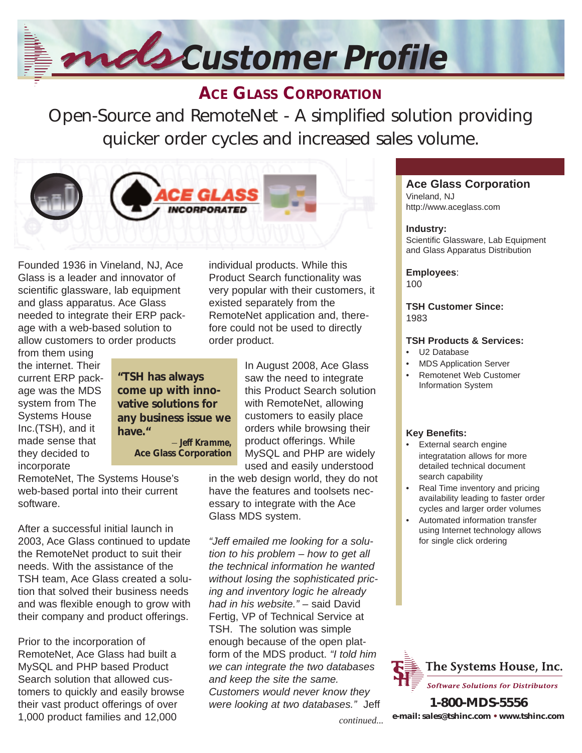# *Customer Profile*

# **ACE GLASS CORPORATION**

Open-Source and RemoteNet - A simplified solution providing quicker order cycles and increased sales volume.



Founded 1936 in Vineland, NJ, Ace Glass is a leader and innovator of scientific glassware, lab equipment and glass apparatus. Ace Glass needed to integrate their ERP package with a web-based solution to allow customers to order products

from them using the internet. Their current ERP package was the MDS system from The Systems House Inc.(TSH), and it made sense that they decided to incorporate

**"TSH has always come up with innovative solutions for any business issue we have."** – *Jeff Kramme,* **Ace Glass Corporation** 

RemoteNet, The Systems House's web-based portal into their current software.

After a successful initial launch in 2003, Ace Glass continued to update the RemoteNet product to suit their needs. With the assistance of the TSH team, Ace Glass created a solution that solved their business needs and was flexible enough to grow with their company and product offerings.

Prior to the incorporation of RemoteNet, Ace Glass had built a MySQL and PHP based Product Search solution that allowed customers to quickly and easily browse their vast product offerings of over 1,000 product families and 12,000

individual products. While this Product Search functionality was very popular with their customers, it existed separately from the RemoteNet application and, therefore could not be used to directly order product.

> In August 2008, Ace Glass saw the need to integrate this Product Search solution with RemoteNet, allowing customers to easily place orders while browsing their product offerings. While MySQL and PHP are widely used and easily understood

in the web design world, they do not have the features and toolsets necessary to integrate with the Ace Glass MDS system.

*"Jeff emailed me looking for a solution to his problem – how to get all the technical information he wanted without losing the sophisticated pricing and inventory logic he already had in his website."* – said David Fertig, VP of Technical Service at TSH. The solution was simple enough because of the open platform of the MDS product. *"I told him we can integrate the two databases and keep the site the same. Customers would never know they were looking at two databases."* Jeff **1-800-MDS-5556** 

#### **Ace Glass Corporation**  Vineland, NJ

http://www.aceglass.com

#### **Industry:**

Scientific Glassware, Lab Equipment and Glass Apparatus Distribution

**Employees**: 100

**TSH Customer Since:** 1983

#### **TSH Products & Services:**

- U2 Database
- MDS Application Server
- Remotenet Web Customer Information System

### **Key Benefits:**

- External search engine integratation allows for more detailed technical document search capability
- Real Time inventory and pricing availability leading to faster order cycles and larger order volumes
- Automated information transfer using Internet technology allows for single click ordering



**e-mail: sales@tshinc.com • www.tshinc.com**